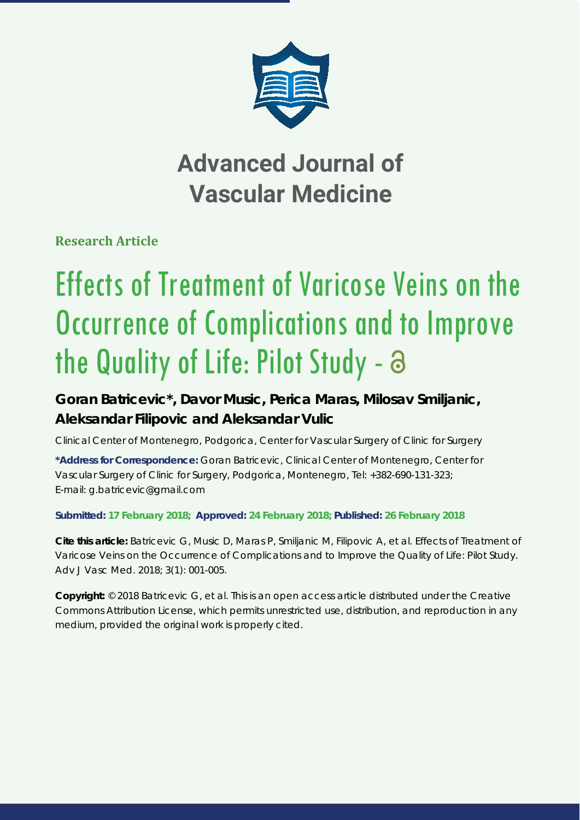

## **Advanced Journal of Vascular Medicine**

**Research Article**

# Effects of Treatment of Varicose Veins on the Occurrence of Complications and to Improve the Quality of Life: Pilot Study -  $\partial$

### **Goran Batricevic\*, Davor Music, Perica Maras, Milosav Smiljanic, Aleksandar Filipovic and Aleksandar Vulic**

*Clinical Center of Montenegro, Podgorica, Center for Vascular Surgery of Clinic for Surgery*

**\*Address for Correspondence:** Goran Batricevic, Clinical Center of Montenegro, Center for Vascular Surgery of Clinic for Surgery, Podgorica, Montenegro, Tel: +382-690-131-323; E-mail: g.batricevic@gmail.com

**Submitted: 17 February 2018; Approved: 24 February 2018; Published: 26 February 2018**

**Cite this article:** Batricevic G, Music D, Maras P, Smiljanic M, Filipovic A, et al. Effects of Treatment of Varicose Veins on the Occurrence of Complications and to Improve the Quality of Life: Pilot Study. Adv J Vasc Med. 2018; 3(1): 001-005.

**Copyright:** © 2018 Batricevic G, et al. This is an open access article distributed under the Creative Commons Attribution License, which permits unrestricted use, distribution, and reproduction in any medium, provided the original work is properly cited.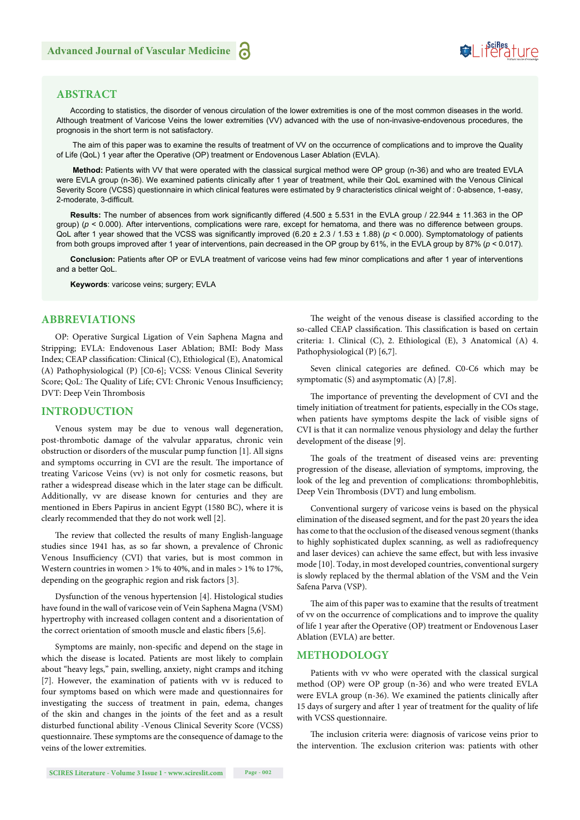## Suiferature

#### **ABSTRACT**

According to statistics, the disorder of venous circulation of the lower extremities is one of the most common diseases in the world. Although treatment of Varicose Veins the lower extremities (VV) advanced with the use of non-invasive-endovenous procedures, the prognosis in the short term is not satisfactory.

 The aim of this paper was to examine the results of treatment of VV on the occurrence of complications and to improve the Quality of Life (QoL) 1 year after the Operative (OP) treatment or Endovenous Laser Ablation (EVLA).

 **Method:** Patients with VV that were operated with the classical surgical method were OP group (n-36) and who are treated EVLA were EVLA group (n-36). We examined patients clinically after 1 year of treatment, while their QoL examined with the Venous Clinical Severity Score (VCSS) questionnaire in which clinical features were estimated by 9 characteristics clinical weight of : 0-absence, 1-easy, 2-moderate, 3-difficult.

**Results:** The number of absences from work significantly differed (4.500 ± 5.531 in the EVLA group / 22.944 ± 11.363 in the OP group) ( $p$  < 0.000). After interventions, complications were rare, except for hematoma, and there was no difference between groups. QoL after 1 year showed that the VCSS was significantly improved  $(6.20 \pm 2.3 / 1.53 \pm 1.88)$  ( $p < 0.000$ ). Symptomatology of patients from both groups improved after 1 year of interventions, pain decreased in the OP group by 61%, in the EVLA group by 87% (*p* < 0.017).

**Conclusion:** Patients after OP or EVLA treatment of varicose veins had few minor complications and after 1 year of interventions and a better QoL.

**Keywords**: varicose veins; surgery; EVLA

#### **ABBREVIATIONS**

OP: Operative Surgical Ligation of Vein Saphena Magna and Stripping; EVLA: Endovenous Laser Ablation; BMI: Body Mass Index; CEAP classification: Clinical (C), Ethiological (E), Anatomical (A) Pathophysiological (P) [C0-6]; VCSS: Venous Clinical Severity Score; QoL: The Quality of Life; CVI: Chronic Venous Insufficiency; DVT: Deep Vein Thrombosis

#### **INTRODUCTION**

Venous system may be due to venous wall degeneration, post-thrombotic damage of the valvular apparatus, chronic vein obstruction or disorders of the muscular pump function [1]. All signs and symptoms occurring in CVI are the result. The importance of treating Varicose Veins (vv) is not only for cosmetic reasons, but rather a widespread disease which in the later stage can be difficult. Additionally, vv are disease known for centuries and they are mentioned in Ebers Papirus in ancient Egypt (1580 BC), where it is clearly recommended that they do not work well [2].

The review that collected the results of many English-language studies since 1941 has, as so far shown, a prevalence of Chronic Venous Insufficiency (CVI) that varies, but is most common in Western countries in women > 1% to 40%, and in males > 1% to 17%, depending on the geographic region and risk factors [3].

Dysfunction of the venous hypertension [4]. Histological studies have found in the wall of varicose vein of Vein Saphena Magna (VSM) hypertrophy with increased collagen content and a disorientation of the correct orientation of smooth muscle and elastic fibers [5,6].

Symptoms are mainly, non-specific and depend on the stage in which the disease is located. Patients are most likely to complain about "heavy legs," pain, swelling, anxiety, night cramps and itching [7]. However, the examination of patients with vv is reduced to four symptoms based on which were made and questionnaires for investigating the success of treatment in pain, edema, changes of the skin and changes in the joints of the feet and as a result disturbed functional ability -Venous Clinical Severity Score (VCSS) questionnaire. These symptoms are the consequence of damage to the veins of the lower extremities.

The weight of the venous disease is classified according to the so-called CEAP classification. This classification is based on certain criteria: 1. Clinical (C), 2. Ethiological (E), 3 Anatomical (A) 4. Pathophysiological (P) [6,7].

Seven clinical categories are defined. C0-C6 which may be symptomatic (S) and asymptomatic (A) [7,8].

The importance of preventing the development of CVI and the timely initiation of treatment for patients, especially in the COs stage, when patients have symptoms despite the lack of visible signs of CVI is that it can normalize venous physiology and delay the further development of the disease [9].

The goals of the treatment of diseased veins are: preventing progression of the disease, alleviation of symptoms, improving, the look of the leg and prevention of complications: thrombophlebitis, Deep Vein Thrombosis (DVT) and lung embolism.

Conventional surgery of varicose veins is based on the physical elimination of the diseased segment, and for the past 20 years the idea has come to that the occlusion of the diseased venous segment (thanks to highly sophisticated duplex scanning, as well as radiofrequency and laser devices) can achieve the same effect, but with less invasive mode [10]. Today, in most developed countries, conventional surgery is slowly replaced by the thermal ablation of the VSM and the Vein Safena Parva (VSP).

The aim of this paper was to examine that the results of treatment of vv on the occurrence of complications and to improve the quality of life 1 year after the Operative (OP) treatment or Endovenous Laser Ablation (EVLA) are better.

#### **METHODOLOGY**

Patients with vv who were operated with the classical surgical method (OP) were OP group (n-36) and who were treated EVLA were EVLA group (n-36). We examined the patients clinically after 15 days of surgery and after 1 year of treatment for the quality of life with VCSS questionnaire.

The inclusion criteria were: diagnosis of varicose veins prior to the intervention. The exclusion criterion was: patients with other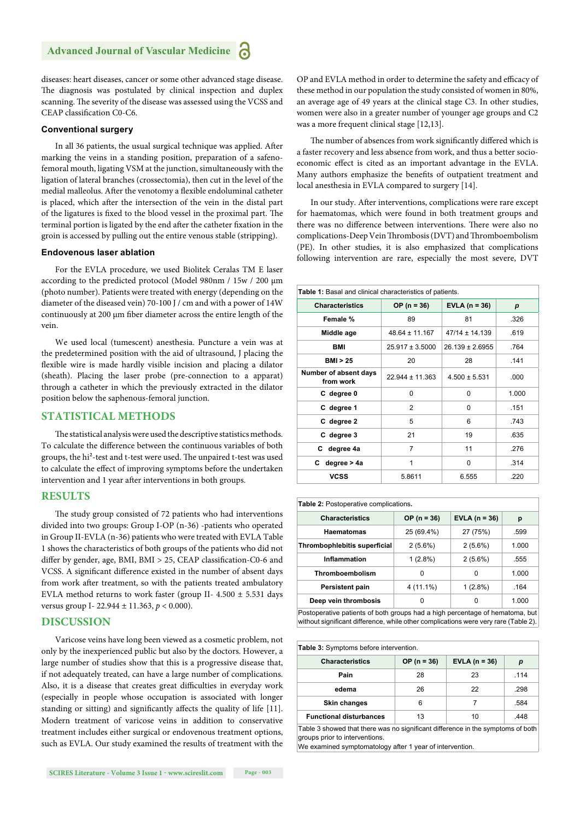diseases: heart diseases, cancer or some other advanced stage disease. The diagnosis was postulated by clinical inspection and duplex scanning. The severity of the disease was assessed using the VCSS and CEAP classification C0-C6

#### **Conventional surgery**

In all 36 patients, the usual surgical technique was applied. After marking the veins in a standing position, preparation of a safenofemoral mouth, ligating VSM at the junction, simultaneously with the ligation of lateral branches (crossectomia), then cut in the level of the medial malleolus. After the venotomy a flexible endoluminal catheter is placed, which after the intersection of the vein in the distal part of the ligatures is fixed to the blood vessel in the proximal part. The terminal portion is ligated by the end after the catheter fixation in the groin is accessed by pulling out the entire venous stable (stripping).

#### **Endovenous laser ablation**

For the EVLA procedure, we used Biolitek Ceralas TM E laser according to the predicted protocol (Model 980nm / 15w / 200 μm (photo number). Patients were treated with energy (depending on the diameter of the diseased vein) 70-100 J / cm and with a power of 14W continuously at 200 μm fiber diameter across the entire length of the vein.

We used local (tumescent) anesthesia. Puncture a vein was at the predetermined position with the aid of ultrasound, J placing the flexible wire is made hardly visible incision and placing a dilator (sheath). Placing the laser probe (pre-connection to a apparat) through a catheter in which the previously extracted in the dilator position below the saphenous-femoral junction.

#### **STATISTICAL METHODS**

The statistical analysis were used the descriptive statistics methods. To calculate the difference between the continuous variables of both groups, the hi<sup>2</sup>-test and t-test were used. The unpaired t-test was used to calculate the effect of improving symptoms before the undertaken intervention and 1 year after interventions in both groups.

#### **RESULTS**

The study group consisted of 72 patients who had interventions divided into two groups: Group I-OP (n-36) -patients who operated in Group II-EVLA (n-36) patients who were treated with EVLA Table 1 shows the characteristics of both groups of the patients who did not differ by gender, age, BMI, BMI  $> 25$ , CEAP classification-C0-6 and VCSS. A significant difference existed in the number of absent days from work after treatment, so with the patients treated ambulatory EVLA method returns to work faster (group II- 4.500  $\pm$  5.531 days versus group I- 22.944 ± 11.363, *p* < 0.000).

#### **DISCUSSION**

Varicose veins have long been viewed as a cosmetic problem, not only by the inexperienced public but also by the doctors. However, a large number of studies show that this is a progressive disease that, if not adequately treated, can have a large number of complications. Also, it is a disease that creates great difficulties in everyday work (especially in people whose occupation is associated with longer standing or sitting) and significantly affects the quality of life [11]. Modern treatment of varicose veins in addition to conservative treatment includes either surgical or endovenous treatment options, such as EVLA. Our study examined the results of treatment with the

OP and EVLA method in order to determine the safety and efficacy of these method in our population the study consisted of women in 80%, an average age of 49 years at the clinical stage C3. In other studies, women were also in a greater number of younger age groups and C2 was a more frequent clinical stage [12,13].

The number of absences from work significantly differed which is a faster recovery and less absence from work, and thus a better socioeconomic effect is cited as an important advantage in the EVLA. Many authors emphasize the benefits of outpatient treatment and local anesthesia in EVLA compared to surgery [14].

In our study. After interventions, complications were rare except for haematomas, which were found in both treatment groups and there was no difference between interventions. There were also no complications-Deep Vein Thrombosis (DVT) and Thromboembolism (PE). In other studies, it is also emphasized that complications following intervention are rare, especially the most severe, DVT

| Table 1: Basal and clinical characteristics of patients. |                     |                     |       |
|----------------------------------------------------------|---------------------|---------------------|-------|
| <b>Characteristics</b>                                   | $OP (n = 36)$       | EVLA $(n = 36)$     | p     |
| Female %                                                 | 89                  | 81                  | .326  |
| Middle age                                               | $48.64 \pm 11.167$  | $47/14 \pm 14.139$  | .619  |
| BMI                                                      | $25.917 \pm 3.5000$ | $26.139 \pm 2.6955$ | .764  |
| <b>BMI &gt; 25</b>                                       | 20                  | 28                  | .141  |
| Number of absent days<br>from work                       | $22.944 \pm 11.363$ | $4.500 \pm 5.531$   | .000  |
| C degree 0                                               | 0                   | 0                   | 1.000 |
| C degree 1                                               | 2                   | 0                   | .151  |
| C degree 2                                               | 5                   | 6                   | .743  |
| C degree 3                                               | 21                  | 19                  | .635  |
| degree 4a<br>C                                           | $\overline{7}$      | 11                  | .276  |
| degree > 4a<br>C                                         | 1                   | $\Omega$            | .314  |
| <b>VCSS</b>                                              | 5.8611              | 6.555               | .220  |

| Table 2: Postoperative complications. |               |                 |       |  |
|---------------------------------------|---------------|-----------------|-------|--|
| <b>Characteristics</b>                | $OP (n = 36)$ | EVLA $(n = 36)$ | р     |  |
| <b>Haematomas</b>                     | 25 (69.4%)    | 27 (75%)        | .599  |  |
| Thrombophlebitis superficial          | $2(5.6\%)$    | $2(5.6\%)$      | 1.000 |  |
| Inflammation                          | $1(2.8\%)$    | $2(5.6\%)$      | .555  |  |
| Thromboembolism                       | 0             | 0               | 1.000 |  |
| <b>Persistent pain</b>                | 4 (11.1%)     | $1(2.8\%)$      | .164  |  |
| Deep vein thrombosis                  | 0             | 0               | 1.000 |  |

Postoperative patients of both groups had a high percentage of hematoma, but without significant difference, while other complications were very rare (Table 2).

| Table 3: Symptoms before intervention. |               |                 |      |
|----------------------------------------|---------------|-----------------|------|
| <b>Characteristics</b>                 | $OP (n = 36)$ | EVLA $(n = 36)$ | р    |
| Pain                                   | 28            | 23              | .114 |
| edema                                  | 26            | 22              | .298 |
| <b>Skin changes</b>                    | 6             |                 | .584 |
| <b>Functional disturbances</b>         | 13            | 10              | 448  |

Table 3 showed that there was no significant difference in the symptoms of both groups prior to interventions.

We examined symptomatology after 1 year of intervention.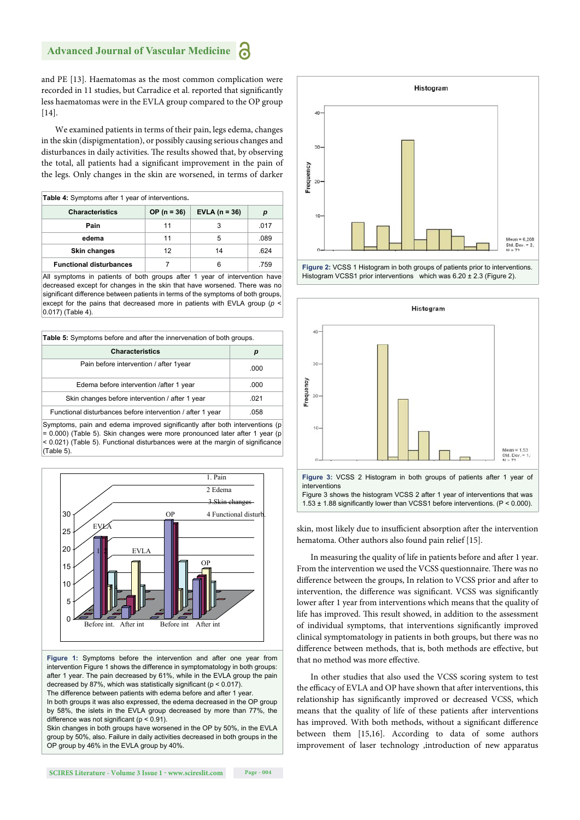and PE [13]. Haematomas as the most common complication were recorded in 11 studies, but Carradice et al. reported that significantly less haematomas were in the EVLA group compared to the OP group [14].

We examined patients in terms of their pain, legs edema, changes in the skin (dispigmentation), or possibly causing serious changes and disturbances in daily activities. The results showed that, by observing the total, all patients had a significant improvement in the pain of the legs. Only changes in the skin are worsened, in terms of darker

| Table 4: Symptoms after 1 year of interventions. |               |                 |      |
|--------------------------------------------------|---------------|-----------------|------|
| <b>Characteristics</b>                           | $OP (n = 36)$ | EVLA $(n = 36)$ | р    |
| Pain                                             | 11            |                 | .017 |
| edema                                            | 11            | 5               | .089 |
| <b>Skin changes</b>                              | 12            | 14              | .624 |
| <b>Functional disturbances</b>                   |               |                 | .759 |

All symptoms in patients of both groups after 1 year of intervention have decreased except for changes in the skin that have worsened. There was no significant difference between patients in terms of the symptoms of both groups, except for the pains that decreased more in patients with EVLA group (*p* < 0.017) (Table 4).

| <b>Table 5:</b> Symptoms before and after the innervenation of both groups. |      |  |
|-----------------------------------------------------------------------------|------|--|
| <b>Characteristics</b>                                                      | р    |  |
| Pain before intervention / after 1year                                      | .000 |  |
| Edema before intervention / after 1 year                                    | .000 |  |
| Skin changes before intervention / after 1 year                             | .021 |  |
| Functional disturbances before intervention / after 1 year                  | 058  |  |

Symptoms, pain and edema improved significantly after both interventions (p = 0.000) (Table 5). Skin changes were more pronounced later after 1 year (p < 0.021) (Table 5). Functional disturbances were at the margin of significance (Table 5).



**Figure 1:** Symptoms before the intervention and after one year from intervention Figure 1 shows the difference in symptomatology in both groups: after 1 year. The pain decreased by 61%, while in the EVLA group the pain decreased by 87%, which was statistically significant ( $p < 0.017$ ). The difference between patients with edema before and after 1 year.

In both groups it was also expressed, the edema decreased in the OP group by 58%, the islets in the EVLA group decreased by more than 77%, the difference was not significant ( $p < 0.91$ ).

Skin changes in both groups have worsened in the OP by 50%, in the EVLA group by 50%, also. Failure in daily activities decreased in both groups in the OP group by 46% in the EVLA group by 40%.



**Figure 2:** VCSS 1 Histogram in both groups of patients prior to interventions. Histogram VCSS1 prior interventions which was 6.20 ± 2.3 (Figure 2).



**Figure 3:** VCSS 2 Histogram in both groups of patients after 1 year of interventions

Figure 3 shows the histogram VCSS 2 after 1 year of interventions that was 1.53  $\pm$  1.88 significantly lower than VCSS1 before interventions. (P < 0.000).

skin, most likely due to insufficient absorption after the intervention hematoma. Other authors also found pain relief [15].

In measuring the quality of life in patients before and after 1 year. From the intervention we used the VCSS questionnaire. There was no difference between the groups, In relation to VCSS prior and after to intervention, the difference was significant. VCSS was significantly lower after 1 year from interventions which means that the quality of life has improved. This result showed, in addition to the assessment of individual symptoms, that interventions significantly improved clinical symptomatology in patients in both groups, but there was no difference between methods, that is, both methods are effective, but that no method was more effective.

In other studies that also used the VCSS scoring system to test the efficacy of EVLA and OP have shown that after interventions, this relationship has significantly improved or decreased VCSS, which means that the quality of life of these patients after interventions has improved. With both methods, without a significant difference between them [15,16]. According to data of some authors improvement of laser technology ,introduction of new apparatus